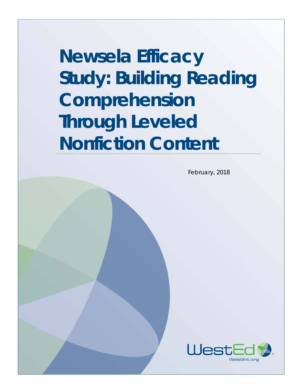**Newsela Efficacy Study: Building Reading Comprehension Through Leveled Nonfiction Content**

February, 2018

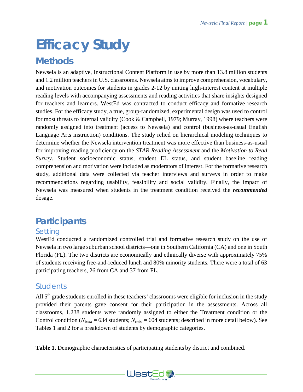# **Efficacy Study**

# **Methods**

Newsela is an adaptive, Instructional Content Platform in use by more than 13.8 million students and 1.2 million teachers in U.S. classrooms. Newsela aims to improve comprehension, vocabulary, and motivation outcomes for students in grades 2-12 by uniting high-interest content at multiple reading levels with accompanying assessments and reading activities that share insights designed for teachers and learners. WestEd was contracted to conduct efficacy and formative research studies. For the efficacy study, a true, group-randomized, experimental design was used to control for most threats to internal validity (Cook & Campbell, 1979; Murray, 1998) where teachers were randomly assigned into treatment (access to Newsela) and control (business-as-usual English Language Arts instruction) conditions. The study relied on hierarchical modeling techniques to determine whether the Newsela intervention treatment was more effective than business-as-usual for improving reading proficiency on the *STAR Reading Assessment* and the *Motivation to Read Survey*. Student socioeconomic status, student EL status, and student baseline reading comprehension and motivation were included as moderators of interest. For the formative research study, additional data were collected via teacher interviews and surveys in order to make recommendations regarding usability, feasibility and social validity. Finally, the impact of Newsela was measured when students in the treatment condition received the *recommended* dosage.

# **Participants**

# **Setting**

WestEd conducted a randomized controlled trial and formative research study on the use of Newsela in two large suburban school districts—one in Southern California (CA) and one in South Florida (FL). The two districts are economically and ethnically diverse with approximately 75% of students receiving free-and-reduced lunch and 80% minority students. There were a total of 63 participating teachers, 26 from CA and 37 from FL.

# **Students**

All 5<sup>th</sup> grade students enrolled in these teachers' classrooms were eligible for inclusion in the study provided their parents gave consent for their participation in the assessments. Across all classrooms, 1,238 students were randomly assigned to either the Treatment condition or the Control condition (*Ntreat* = 634 students; *Ncntrl* = 604 students; described in more detail below). See Tables 1 and 2 for a breakdown of students by demographic categories.

**Table 1.** Demographic characteristics of participating students by district and combined.

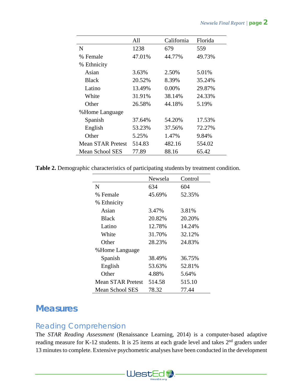|                          | All    | California | Florida |
|--------------------------|--------|------------|---------|
| N                        | 1238   | 679        | 559     |
| % Female                 | 47.01% | 44.77%     | 49.73%  |
| % Ethnicity              |        |            |         |
| Asian                    | 3.63%  | 2.50%      | 5.01%   |
| <b>Black</b>             | 20.52% | 8.39%      | 35.24%  |
| Latino                   | 13.49% | 0.00%      | 29.87%  |
| White                    | 31.91% | 38.14%     | 24.33%  |
| Other                    | 26.58% | 44.18%     | 5.19%   |
| %Home Language           |        |            |         |
| Spanish                  | 37.64% | 54.20%     | 17.53%  |
| English                  | 53.23% | 37.56%     | 72.27%  |
| Other                    | 5.25%  | 1.47%      | 9.84%   |
| <b>Mean STAR Pretest</b> | 514.83 | 482.16     | 554.02  |
| Mean School SES          | 77.89  | 88.16      | 65.42   |

**Table 2.** Demographic characteristics of participating students by treatment condition.

|                          | Newsela | Control |
|--------------------------|---------|---------|
| N                        | 634     | 604     |
| % Female                 | 45.69%  | 52.35%  |
| % Ethnicity              |         |         |
| Asian                    | 3.47%   | 3.81%   |
| <b>Black</b>             | 20.82%  | 20.20%  |
| Latino                   | 12.78%  | 14.24%  |
| White                    | 31.70%  | 32.12%  |
| Other                    | 28.23%  | 24.83%  |
| %Home Language           |         |         |
| Spanish                  | 38.49%  | 36.75%  |
| English                  | 53.63%  | 52.81%  |
| Other                    | 4.88%   | 5.64%   |
| <b>Mean STAR Pretest</b> | 514.58  | 515.10  |
| Mean School SES          | 78.32   | 77.44   |

# **Measures**

## Reading Comprehension

The *STAR Reading Assessment* (Renaissance Learning, 2014) is a computer-based adaptive reading measure for K-12 students. It is 25 items at each grade level and takes 2<sup>nd</sup> graders under 13 minutes to complete. Extensive psychometric analyses have been conducted in the development

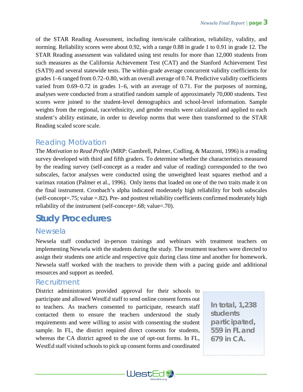of the STAR Reading Assessment, including item/scale calibration, reliability, validity, and norming. Reliability scores were about 0.92, with a range 0.88 in grade 1 to 0.91 in grade 12. The STAR Reading assessment was validated using test results for more than 12,000 students from such measures as the California Achievement Test (CAT) and the Stanford Achievement Test (SAT9) and several statewide tests. The within-grade average concurrent validity coefficients for grades 1–6 ranged from 0.72–0.80, with an overall average of 0.74. Predictive validity coefficients varied from 0.69–0.72 in grades 1–6, with an average of 0.71. For the purposes of norming, analyses were conducted from a stratified random sample of approximately 70,000 students. Test scores were joined to the student-level demographics and school-level information. Sample weights from the regional, race/ethnicity, and gender results were calculated and applied to each student's ability estimate, in order to develop norms that were then transformed to the STAR Reading scaled score scale.

# Reading Motivation

The *Motivation to Read Profile* (MRP: Gambrell, Palmer, Codling, & Mazzoni, 1996) is a reading survey developed with third and fifth graders. To determine whether the characteristics measured by the reading survey (self-concept as a reader and value of reading) corresponded to the two subscales, factor analyses were conducted using the unweighted least squares method and a varimax rotation (Palmer et al., 1996). Only items that loaded on one of the two traits made it on the final instrument. Cronbach's alpha indicated moderately high reliability for both subscales (self-concept=.75; value =.82). Pre- and posttest reliability coefficients confirmed moderately high reliability of the instrument (self-concept=.68; value=.70).

# **Study Procedures**

## Newsela

Newsela staff conducted in-person trainings and webinars with treatment teachers on implementing Newsela with the students during the study. The treatment teachers were directed to assign their students one article and respective quiz during class time and another for homework. Newsela staff worked with the teachers to provide them with a pacing guide and additional resources and support as needed.

### Recruitment

District administrators provided approval for their schools to participate and allowed WestEd staff to send online consent forms out to teachers. As teachers consented to participate, research staff contacted them to ensure the teachers understood the study requirements and were willing to assist with consenting the student sample. In FL, the district required direct consents for students, whereas the CA district agreed to the use of opt-out forms. In FL, WestEd staff visited schools to pick up consent forms and coordinated

*In total, 1,238 students participated, 559 in FL and 679 in CA.*

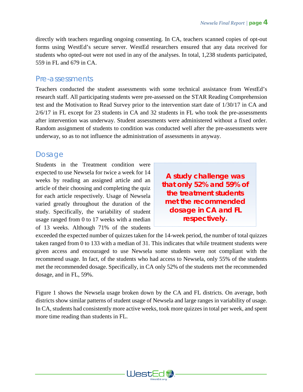directly with teachers regarding ongoing consenting. In CA, teachers scanned copies of opt-out forms using WestEd's secure server. WestEd researchers ensured that any data received for students who opted-out were not used in any of the analyses. In total, 1,238 students participated, 559 in FL and 679 in CA.

### Pre-assessments

Teachers conducted the student assessments with some technical assistance from WestEd's research staff. All participating students were pre-assessed on the STAR Reading Comprehension test and the Motivation to Read Survey prior to the intervention start date of 1/30/17 in CA and 2/6/17 in FL except for 23 students in CA and 32 students in FL who took the pre-assessments after intervention was underway. Student assessments were administered without a fixed order. Random assignment of students to condition was conducted well after the pre-assessments were underway, so as to not influence the administration of assessments in anyway.

## Dosage

Students in the Treatment condition were expected to use Newsela for twice a week for 14 weeks by reading an assigned article and an article of their choosing and completing the quiz for each article respectively. Usage of Newsela varied greatly throughout the duration of the study. Specifically, the variability of student usage ranged from 0 to 17 weeks with a median of 13 weeks. Although 71% of the students

*A study challenge was that only 52% and 59% of the treatment students met the recommended dosage in CA and FL respectively.*

exceeded the expected number of quizzes taken for the 14-week period, the number of total quizzes taken ranged from 0 to 133 with a median of 31. This indicates that while treatment students were given access and encouraged to use Newsela some students were not compliant with the recommend usage. In fact, of the students who had access to Newsela, only 55% of the students met the recommended dosage. Specifically, in CA only 52% of the students met the recommended dosage, and in FL, 59%.

Figure 1 shows the Newsela usage broken down by the CA and FL districts. On average, both districts show similar patterns of student usage of Newsela and large ranges in variability of usage. In CA, students had consistently more active weeks, took more quizzes in total per week, and spent more time reading than students in FL.

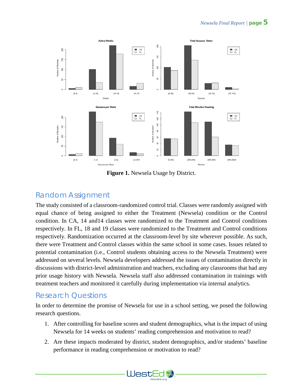

**Figure 1.** Newsela Usage by District.

## Random Assignment

The study consisted of a classroom-randomized control trial. Classes were randomly assigned with equal chance of being assigned to either the Treatment (Newsela) condition or the Control condition. In CA, 14 and14 classes were randomized to the Treatment and Control conditions respectively. In FL, 18 and 19 classes were randomized to the Treatment and Control conditions respectively. Randomization occurred at the classroom-level by site wherever possible. As such, there were Treatment and Control classes within the same school in some cases. Issues related to potential contamination (i.e., Control students obtaining access to the Newsela Treatment) were addressed on several levels. Newsela developers addressed the issues of contamination directly in discussions with district-level administration and teachers, excluding any classrooms that had any prior usage history with Newsela. Newsela staff also addressed contamination in trainings with treatment teachers and monitored it carefully during implementation via internal analytics.

# Research Questions

In order to determine the promise of Newsela for use in a school setting, we posed the following research questions.

- 1. After controlling for baseline scores and student demographics, what is the impact of using Newsela for 14 weeks on students' reading comprehension and motivation to read?
- 2. Are these impacts moderated by district, student demographics, and/or students' baseline performance in reading comprehension or motivation to read?

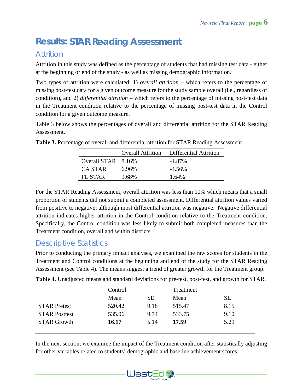# **Results:** *STAR Reading Assessment*

# Attrition

Attrition in this study was defined as the percentage of students that had missing test data - either at the beginning or end of the study - as well as missing demographic information.

Two types of attrition were calculated: 1) *overall attrition* – which refers to the percentage of missing post-test data for a given outcome measure for the study sample overall (i.e., regardless of condition), and 2) *differential attrition* – which refers to the percentage of missing post-test data in the Treatment condition relative to the percentage of missing post-test data in the Control condition for a given outcome measure.

Table 3 below shows the percentages of overall and differential attrition for the STAR Reading Assessment.

|                    |       | Overall Attrition Differential Attrition |
|--------------------|-------|------------------------------------------|
| Overall STAR 8.16% |       | $-1.87\%$                                |
| CA STAR            | 6.96% | $-4.56\%$                                |
| FL STAR            | 9.68% | 1.64%                                    |

**Table 3.** Percentage of overall and differential attrition for STAR Reading Assessment.

For the STAR Reading Assessment, overall attrition was less than 10% which means that a small proportion of students did not submit a completed assessment. Differential attrition values varied from positive to negative; although most differential attrition was negative. Negative differential attrition indicates higher attrition in the Control condition relative to the Treatment condition. Specifically, the Control condition was less likely to submit both completed measures than the Treatment condition, overall and within districts.

# Descriptive Statistics

Prior to conducting the primary impact analyses, we examined the raw scores for students in the Treatment and Control conditions at the beginning and end of the study for the STAR Reading Assessment (see Table 4). The means suggest a trend of greater growth for the Treatment group.

|                      | Control |           | Treatment |           |
|----------------------|---------|-----------|-----------|-----------|
|                      | Mean    | <b>SE</b> | Mean      | <b>SE</b> |
| <b>STAR Pretest</b>  | 520.42  | 9.18      | 515.47    | 8.15      |
| <b>STAR Posttest</b> | 535.06  | 9.74      | 533.75    | 9.10      |
| <b>STAR Growth</b>   | 16.17   | 5.14      | 17.59     | 5.29      |
|                      |         |           |           |           |

**Table 4.** Unadjusted means and standard deviations for pre-test, post-test, and growth for STAR.

In the next section, we examine the impact of the Treatment condition after statistically adjusting for other variables related to students' demographic and baseline achievement scores.

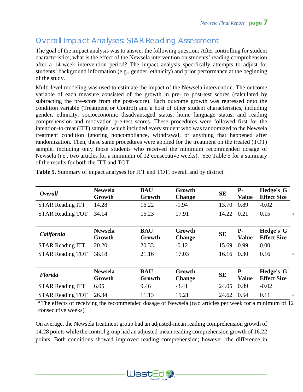# Overall Impact Analyses: STAR Reading Assessment

The goal of the impact analysis was to answer the following question: After controlling for student characteristics, what is the effect of the Newsela intervention on students' reading comprehension after a 14-week intervention period? The impact analysis specifically attempts to adjust for students' background information (e.g., gender, ethnicity) and prior performance at the beginning of the study.

Multi-level modeling was used to estimate the impact of the Newsela intervention. The outcome variable of each measure consisted of the growth in pre- to post-test scores (calculated by subtracting the pre-score from the post-score). Each outcome growth was regressed onto the condition variable (Treatment or Control) and a host of other student characteristics, including gender, ethnicity, socioeconomic disadvantaged status, home language status, and reading comprehension and motivation pre-test scores. These procedures were followed first for the intention-to-treat (ITT) sample, which included every student who was randomized to the Newsela treatment condition ignoring noncompliance, withdrawal, or anything that happened after randomization. Then, these same procedures were applied for the treatment on the treated (TOT) sample, including only those students who received the minimum recommended dosage of Newsela (i.e., two articles for a minimum of 12 consecutive weeks). See Table 5 for a summary of the results for both the ITT and TOT.

| <b>Newsela</b><br>Growth | <b>BAU</b><br>Growth | Growth<br><b>Change</b> | <b>SE</b> | $P-$<br><b>Value</b> | Hedge's G<br><b>Effect Size</b> |   |
|--------------------------|----------------------|-------------------------|-----------|----------------------|---------------------------------|---|
| 14.28                    | 16.22                | $-1.94$                 | 13.70     | 0.89                 | $-0.02$                         |   |
| 34.14                    | 16.23                | 17.91                   | 14.22     | 0.21                 | 0.15                            | a |
|                          |                      |                         |           |                      |                                 |   |
| <b>Newsela</b><br>Growth | <b>BAU</b><br>Growth | Growth<br><b>Change</b> | <b>SE</b> | $P-$<br><b>Value</b> | Hedge's G<br><b>Effect Size</b> |   |
| 20.20                    | 20.33                | $-0.12$                 | 15.69     | 0.99                 | 0.00                            |   |
| 38.18                    | 21.16                | 17.03                   | 16.16     | 0.30                 | 0.16                            | a |
|                          |                      |                         |           |                      |                                 |   |
| <b>Newsela</b><br>Growth | <b>BAU</b><br>Growth | Growth<br><b>Change</b> | <b>SE</b> | $P-$<br><b>Value</b> | Hedge's G<br><b>Effect Size</b> |   |
| 6.05                     | 9.46                 | $-3.41$                 | 24.05     | 0.89                 | $-0.02$                         |   |
| 26.34                    | 11.13                | 15.21                   | 24.62     | 0.54                 | 0.11                            | a |
|                          |                      |                         |           |                      |                                 |   |

**Table 5.** Summary of impact analyses for ITT and TOT, overall and by district.

<sup>a</sup> The effects of receiving the recommended dosage of Newsela (two articles per week for a minimum of 12 consecutive weeks)

On average, the Newsela treatment group had an adjusted-mean reading comprehension growth of 14.28 points while the control group had an adjusted-mean reading comprehension growth of 16.22 points. Both conditions showed improved reading comprehension; however, the difference in

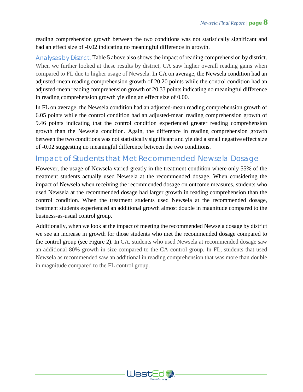reading comprehension growth between the two conditions was not statistically significant and had an effect size of -0.02 indicating no meaningful difference in growth.

*Analyses by District.* Table 5 above also shows the impact of reading comprehension by district. When we further looked at these results by district, CA saw higher overall reading gains when compared to FL due to higher usage of Newsela. In CA on average, the Newsela condition had an adjusted-mean reading comprehension growth of 20.20 points while the control condition had an adjusted-mean reading comprehension growth of 20.33 points indicating no meaningful difference in reading comprehension growth yielding an effect size of 0.00.

In FL on average, the Newsela condition had an adjusted-mean reading comprehension growth of 6.05 points while the control condition had an adjusted-mean reading comprehension growth of 9.46 points indicating that the control condition experienced greater reading comprehension growth than the Newsela condition. Again, the difference in reading comprehension growth between the two conditions was not statistically significant and yielded a small negative effect size of -0.02 suggesting no meaningful difference between the two conditions.

# Impact of Students that Met Recommended Newsela Dosage

However, the usage of Newsela varied greatly in the treatment condition where only 55% of the treatment students actually used Newsela at the recommended dosage. When considering the impact of Newsela when receiving the recommended dosage on outcome measures, students who used Newsela at the recommended dosage had larger growth in reading comprehension than the control condition. When the treatment students used Newsela at the recommended dosage, treatment students experienced an additional growth almost double in magnitude compared to the business-as-usual control group.

Additionally, when we look at the impact of meeting the recommended Newsela dosage by district we see an increase in growth for those students who met the recommended dosage compared to the control group (see Figure 2). In CA, students who used Newsela at recommended dosage saw an additional 80% growth in size compared to the CA control group. In FL, students that used Newsela as recommended saw an additional in reading comprehension that was more than double in magnitude compared to the FL control group.

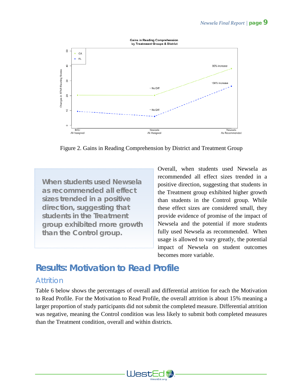

Figure 2. Gains in Reading Comprehension by District and Treatment Group

*When students used Newsela as recommended all effect sizes trended in a positive direction, suggesting that students in the Treatment group exhibited more growth than the Control group.*

Overall, when students used Newsela as recommended all effect sizes trended in a positive direction, suggesting that students in the Treatment group exhibited higher growth than students in the Control group. While these effect sizes are considered small, they provide evidence of promise of the impact of Newsela and the potential if more students fully used Newsela as recommended. When usage is allowed to vary greatly, the potential impact of Newsela on student outcomes becomes more variable.

# **Results:** *Motivation to Read Profile*

# **Attrition**

Table 6 below shows the percentages of overall and differential attrition for each the Motivation to Read Profile. For the Motivation to Read Profile, the overall attrition is about 15% meaning a larger proportion of study participants did not submit the completed measure. Differential attrition was negative, meaning the Control condition was less likely to submit both completed measures than the Treatment condition, overall and within districts.

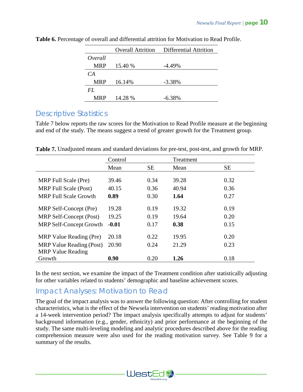|            |         | <b>Overall Attrition</b> Differential Attrition |
|------------|---------|-------------------------------------------------|
| Overall    |         |                                                 |
| <b>MRP</b> | 15.40 % | $-4.49\%$                                       |
| CA         |         |                                                 |
| <b>MRP</b> | 16.14%  | $-3.38\%$                                       |
| FL.        |         |                                                 |
| <b>MRP</b> | 14.28 % | $-6.38%$                                        |

**Table 6.** Percentage of overall and differential attrition for Motivation to Read Profile.

# Descriptive Statistics

Table 7 below reports the raw scores for the Motivation to Read Profile measure at the beginning and end of the study. The means suggest a trend of greater growth for the Treatment group.

|                                 | Control |           | Treatment |      |
|---------------------------------|---------|-----------|-----------|------|
|                                 | Mean    | <b>SE</b> | Mean      | SE   |
|                                 |         |           |           |      |
| MRP Full Scale (Pre)            | 39.46   | 0.34      | 39.28     | 0.32 |
| <b>MRP</b> Full Scale (Post)    | 40.15   | 0.36      | 40.94     | 0.36 |
| <b>MRP</b> Full Scale Growth    | 0.89    | 0.30      | 1.64      | 0.27 |
|                                 |         |           |           |      |
| MRP Self-Concept (Pre)          | 19.28   | 0.19      | 19.32     | 0.19 |
| MRP Self-Concept (Post)         | 19.25   | 0.19      | 19.64     | 0.20 |
| <b>MRP Self-Concept Growth</b>  | $-0.01$ | 0.17      | 0.38      | 0.15 |
|                                 |         |           |           |      |
| MRP Value Reading (Pre)         | 20.18   | 0.22      | 19.95     | 0.20 |
| <b>MRP Value Reading (Post)</b> | 20.90   | 0.24      | 21.29     | 0.23 |
| <b>MRP</b> Value Reading        |         |           |           |      |
| Growth                          | 0.90    | 0.20      | 1.26      | 0.18 |

**Table 7.** Unadjusted means and standard deviations for pre-test, post-test, and growth for MRP.

In the next section, we examine the impact of the Treatment condition after statistically adjusting for other variables related to students' demographic and baseline achievement scores.

# Impact Analyses: Motivation to Read

The goal of the impact analysis was to answer the following question: After controlling for student characteristics, what is the effect of the Newsela intervention on students' reading motivation after a 14-week intervention period? The impact analysis specifically attempts to adjust for students' background information (e.g., gender, ethnicity) and prior performance at the beginning of the study. The same multi-leveling modeling and analytic procedures described above for the reading comprehension measure were also used for the reading motivation survey. See Table 9 for a summary of the results.

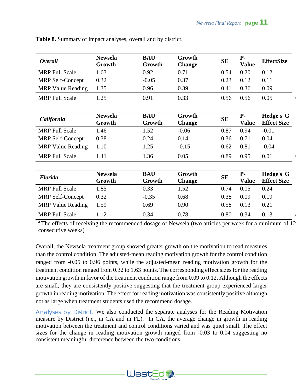| <b>Overall</b>           | <b>Newsela</b><br>Growth | <b>BAU</b><br>Growth | Growth<br><b>Change</b> | <b>SE</b> | $P-$<br><b>Value</b> | <b>EffectSize</b>                      |   |
|--------------------------|--------------------------|----------------------|-------------------------|-----------|----------------------|----------------------------------------|---|
| <b>MRP</b> Full Scale    | 1.63                     | 0.92                 | 0.71                    | 0.54      | 0.20                 | 0.12                                   |   |
| <b>MRP Self-Concept</b>  | 0.32                     | $-0.05$              | 0.37                    | 0.23      | 0.12                 | 0.11                                   |   |
| <b>MRP</b> Value Reading | 1.35                     | 0.96                 | 0.39                    | 0.41      | 0.36                 | 0.09                                   |   |
| <b>MRP</b> Full Scale    | 1.25                     | 0.91                 | 0.33                    | 0.56      | 0.56                 | 0.05                                   | a |
|                          |                          |                      |                         |           |                      |                                        |   |
| California               | <b>Newsela</b><br>Growth | <b>BAU</b><br>Growth | Growth<br><b>Change</b> | <b>SE</b> | $P-$<br><b>Value</b> | <b>Hedge's G</b><br><b>Effect Size</b> |   |
| <b>MRP Full Scale</b>    | 1.46                     | 1.52                 | $-0.06$                 | 0.87      | 0.94                 | $-0.01$                                |   |
| <b>MRP Self-Concept</b>  | 0.38                     | 0.24                 | 0.14                    | 0.36      | 0.71                 | 0.04                                   |   |
| <b>MRP</b> Value Reading | 1.10                     | 1.25                 | $-0.15$                 | 0.62      | 0.81                 | $-0.04$                                |   |
| <b>MRP</b> Full Scale    | 1.41                     | 1.36                 | 0.05                    | 0.89      | 0.95                 | 0.01                                   | a |
|                          |                          |                      |                         |           |                      |                                        |   |
| <b>Florida</b>           | <b>Newsela</b><br>Growth | <b>BAU</b><br>Growth | Growth<br><b>Change</b> | <b>SE</b> | $P-$<br><b>Value</b> | <b>Hedge's G</b><br><b>Effect Size</b> |   |
| <b>MRP Full Scale</b>    | 1.85                     | 0.33                 | 1.52                    | 0.74      | 0.05                 | 0.24                                   |   |
| <b>MRP Self-Concept</b>  | 0.32                     | $-0.35$              | 0.68                    | 0.38      | 0.09                 | 0.19                                   |   |
| <b>MRP</b> Value Reading | 1.59                     | 0.69                 | 0.90                    | 0.58      | 0.13                 | 0.21                                   |   |
| <b>MRP</b> Full Scale    | 1.12                     | 0.34                 | 0.78                    | 0.80      | 0.34                 | 0.13                                   | a |

**Table 8.** Summary of impact analyses, overall and by district.

<sup>a</sup> The effects of receiving the recommended dosage of Newsela (two articles per week for a minimum of 12 consecutive weeks)

Overall, the Newsela treatment group showed greater growth on the motivation to read measures than the control condition. The adjusted-mean reading motivation growth for the control condition ranged from -0.05 to 0.96 points, while the adjusted-mean reading motivation growth for the treatment condition ranged from 0.32 to 1.63 points. The corresponding effect sizes for the reading motivation growth in favor of the treatment condition range from 0.09 to 0.12. Although the effects are small, they are consistently positive suggesting that the treatment group experienced larger growth in reading motivation. The effect for reading motivation was consistently positive although not as large when treatment students used the recommend dosage.

*Analyses by District.* We also conducted the separate analyses for the Reading Motivation measure by District (i.e., in CA and in FL). In CA, the average change in growth in reading motivation between the treatment and control conditions varied and was quiet small. The effect sizes for the change in reading motivation growth ranged from -0.03 to 0.04 suggesting no consistent meaningful difference between the two conditions.

WestEd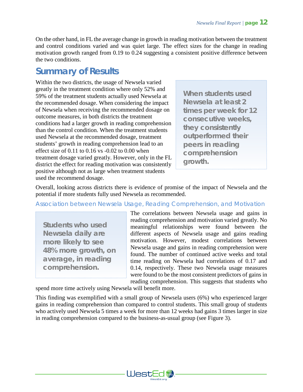On the other hand, in FL the average change in growth in reading motivation between the treatment and control conditions varied and was quiet large. The effect sizes for the change in reading motivation growth ranged from 0.19 to 0.24 suggesting a consistent positive difference between the two conditions.

# **Summary of Results**

Within the two districts, the usage of Newsela varied greatly in the treatment condition where only 52% and 59% of the treatment students actually used Newsela at the recommended dosage. When considering the impact of Newsela when receiving the recommended dosage on outcome measures, in both districts the treatment conditions had a larger growth in reading comprehension than the control condition. When the treatment students used Newsela at the recommended dosage, treatment students' growth in reading comprehension lead to an effect size of 0.11 to 0.16 vs -0.02 to 0.00 when treatment dosage varied greatly. However, only in the FL district the effect for reading motivation was consistently positive although not as large when treatment students used the recommend dosage.

*When students used Newsela at least 2 times per week for 12 consecutive weeks, they consistently outperformed their peers in reading comprehension growth.*

Overall, looking across districts there is evidence of promise of the impact of Newsela and the potential if more students fully used Newsela as recommended.

#### Association between Newsela Usage, Reading Comprehension, and Motivation

*Students who used Newsela daily are more likely to see 48% more growth, on average, in reading comprehension.*

The correlations between Newsela usage and gains in reading comprehension and motivation varied greatly. No meaningful relationships were found between the different aspects of Newsela usage and gains reading motivation. However, modest correlations between Newsela usage and gains in reading comprehension were found. The number of continued active weeks and total time reading on Newsela had correlations of 0.17 and 0.14, respectively. These two Newsela usage measures were found to be the most consistent predictors of gains in reading comprehension. This suggests that students who

spend more time actively using Newsela will benefit more.

This finding was exemplified with a small group of Newsela users (6%) who experienced larger gains in reading comprehension than compared to control students. This small group of students who actively used Newsela 5 times a week for more than 12 weeks had gains 3 times larger in size in reading comprehension compared to the business-as-usual group (see Figure 3).

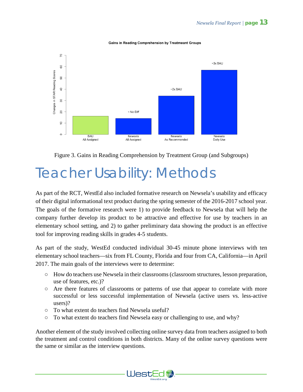





# Teacher Usability: Methods

As part of the RCT, WestEd also included formative research on Newsela's usability and efficacy of their digital informational text product during the spring semester of the 2016-2017 school year. The goals of the formative research were 1) to provide feedback to Newsela that will help the company further develop its product to be attractive and effective for use by teachers in an elementary school setting, and 2) to gather preliminary data showing the product is an effective tool for improving reading skills in grades 4-5 students.

As part of the study, WestEd conducted individual 30-45 minute phone interviews with ten elementary school teachers—six from FL County, Florida and four from CA, California—in April 2017. The main goals of the interviews were to determine:

- How do teachers use Newsela in their classrooms (classroom structures, lesson preparation, use of features, etc.)?
- Are there features of classrooms or patterns of use that appear to correlate with more successful or less successful implementation of Newsela (active users vs. less-active users)?
- To what extent do teachers find Newsela useful?
- To what extent do teachers find Newsela easy or challenging to use, and why?

Another element of the study involved collecting online survey data from teachers assigned to both the treatment and control conditions in both districts. Many of the online survey questions were the same or similar as the interview questions.

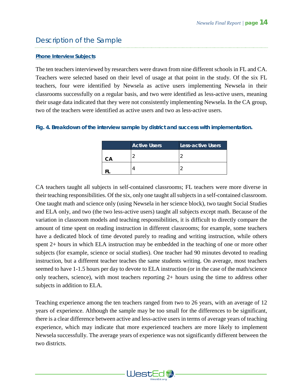# Description of the Sample

#### *Phone Interview Subjects*

The ten teachers interviewed by researchers were drawn from nine different schools in FL and CA. Teachers were selected based on their level of usage at that point in the study. Of the six FL teachers, four were identified by Newsela as active users implementing Newsela in their classrooms successfully on a regular basis, and two were identified as less-active users, meaning their usage data indicated that they were not consistently implementing Newsela. In the CA group, two of the teachers were identified as active users and two as less-active users.

#### *Fig. 4. Breakdown of the interview sample by district and success with implementation.*

|     | <b>Active Users</b> | <b>Less-active Users</b> |
|-----|---------------------|--------------------------|
| ิ∴∆ |                     | r                        |
|     |                     | ╭                        |

CA teachers taught all subjects in self-contained classrooms; FL teachers were more diverse in their teaching responsibilities. Of the six, only one taught all subjects in a self-contained classroom. One taught math and science only (using Newsela in her science block), two taught Social Studies and ELA only, and two (the two less-active users) taught all subjects except math. Because of the variation in classroom models and teaching responsibilities, it is difficult to directly compare the amount of time spent on reading instruction in different classrooms; for example, some teachers have a dedicated block of time devoted purely to reading and writing instruction, while others spent 2+ hours in which ELA instruction may be embedded in the teaching of one or more other subjects (for example, science or social studies). One teacher had 90 minutes devoted to reading instruction, but a different teacher teaches the same students writing. On average, most teachers seemed to have 1-1.5 hours per day to devote to ELA instruction (or in the case of the math/science only teachers, science), with most teachers reporting 2+ hours using the time to address other subjects in addition to ELA.

Teaching experience among the ten teachers ranged from two to 26 years, with an average of 12 years of experience. Although the sample may be too small for the differences to be significant, there is a clear difference between active and less-active users in terms of average years of teaching experience, which may indicate that more experienced teachers are more likely to implement Newsela successfully. The average years of experience was not significantly different between the two districts.

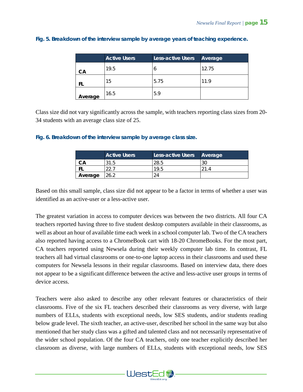|         | <b>Active Users</b> | <b>Less-active Users</b> | Average |
|---------|---------------------|--------------------------|---------|
| CА      | 19.5                | O                        | 12.75   |
| FI      | 15                  | 5.75                     | 11.9    |
| Average | 16.5                | 5.9                      |         |

#### *Fig. 5. Breakdown of the interview sample by average years of teaching experience.*

Class size did not vary significantly across the sample, with teachers reporting class sizes from 20- 34 students with an average class size of 25.

#### *Fig. 6. Breakdown of the interview sample by average class size.*

|         | <b>Active Users</b> | Less-active Users | Average |
|---------|---------------------|-------------------|---------|
| CА      | 31.5                | 28.5              | ЗC      |
|         |                     | 19.5              |         |
| Average | 26.2                |                   |         |

Based on this small sample, class size did not appear to be a factor in terms of whether a user was identified as an active-user or a less-active user.

The greatest variation in access to computer devices was between the two districts. All four CA teachers reported having three to five student desktop computers available in their classrooms, as well as about an hour of available time each week in a school computer lab. Two of the CA teachers also reported having access to a ChromeBook cart with 18-20 ChromeBooks. For the most part, CA teachers reported using Newsela during their weekly computer lab time. In contrast, FL teachers all had virtual classrooms or one-to-one laptop access in their classrooms and used these computers for Newsela lessons in their regular classrooms. Based on interview data, there does not appear to be a significant difference between the active and less-active user groups in terms of device access.

Teachers were also asked to describe any other relevant features or characteristics of their classrooms. Five of the six FL teachers described their classrooms as very diverse, with large numbers of ELLs, students with exceptional needs, low SES students, and/or students reading below grade level. The sixth teacher, an active-user, described her school in the same way but also mentioned that her study class was a gifted and talented class and not necessarily representative of the wider school population. Of the four CA teachers, only one teacher explicitly described her classroom as diverse, with large numbers of ELLs, students with exceptional needs, low SES

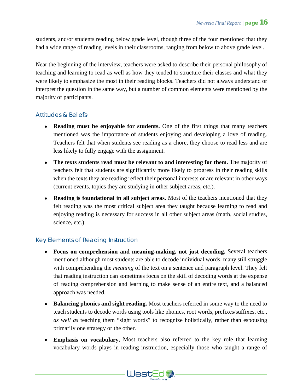students, and/or students reading below grade level, though three of the four mentioned that they had a wide range of reading levels in their classrooms, ranging from below to above grade level.

Near the beginning of the interview, teachers were asked to describe their personal philosophy of teaching and learning to read as well as how they tended to structure their classes and what they were likely to emphasize the most in their reading blocks. Teachers did not always understand or interpret the question in the same way, but a number of common elements were mentioned by the majority of participants.

#### *Attitudes & Beliefs:*

- **Reading must be enjoyable for students.** One of the first things that many teachers mentioned was the importance of students enjoying and developing a love of reading. Teachers felt that when students see reading as a chore, they choose to read less and are less likely to fully engage with the assignment.
- The texts students read must be relevant to and interesting for them. The majority of teachers felt that students are significantly more likely to progress in their reading skills when the texts they are reading reflect their personal interests or are relevant in other ways (current events, topics they are studying in other subject areas, etc.).
- **Reading is foundational in all subject areas.** Most of the teachers mentioned that they felt reading was the most critical subject area they taught because learning to read and enjoying reading is necessary for success in all other subject areas (math, social studies, science, etc.)

### *Key Elements of Reading Instruction*

- **Focus on comprehension and meaning-making, not just decoding.** Several teachers mentioned although most students are able to decode individual words, many still struggle with comprehending the *meaning* of the text on a sentence and paragraph level. They felt that reading instruction can sometimes focus on the skill of decoding words at the expense of reading comprehension and learning to make sense of an entire text, and a balanced approach was needed.
- **Balancing phonics and sight reading.** Most teachers referred in some way to the need to teach students to decode words using tools like phonics, root words, prefixes/suffixes, etc., *as well as* teaching them "sight words" to recognize holistically, rather than espousing primarily one strategy or the other.
- **Emphasis on vocabulary.** Most teachers also referred to the key role that learning vocabulary words plays in reading instruction, especially those who taught a range of

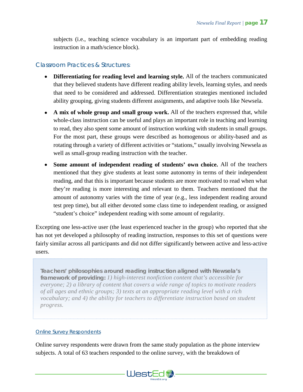subjects (i.e., teaching science vocabulary is an important part of embedding reading instruction in a math/science block).

#### *Classroom Practices & Structures:*

- **Differentiating for reading level and learning style.** All of the teachers communicated that they believed students have different reading ability levels, learning styles, and needs that need to be considered and addressed. Differentiation strategies mentioned included ability grouping, giving students different assignments, and adaptive tools like Newsela.
- **A mix of whole group and small group work.** All of the teachers expressed that, while whole-class instruction can be useful and plays an important role in teaching and learning to read, they also spent some amount of instruction working with students in small groups. For the most part, these groups were described as homogenous or ability-based and as rotating through a variety of different activities or "stations," usually involving Newsela as well as small-group reading instruction with the teacher.
- **Some amount of independent reading of students' own choice.** All of the teachers mentioned that they give students at least some autonomy in terms of their independent reading, and that this is important because students are more motivated to read when what they're reading is more interesting and relevant to them. Teachers mentioned that the amount of autonomy varies with the time of year (e.g., less independent reading around test prep time), but all either devoted some class time to independent reading, or assigned "student's choice" independent reading with some amount of regularity.

Excepting one less-active user (the least experienced teacher in the group) who reported that she has not yet developed a philosophy of reading instruction, responses to this set of questions were fairly similar across all participants and did not differ significantly between active and less-active users.

*Teachers' philosophies around reading instruction aligned with Newsela's framework of providing: 1) high-interest nonfiction content that's accessible for everyone; 2) a library of content that covers a wide range of topics to motivate readers of all ages and ethnic groups; 3) texts at an appropriate reading level with a rich vocabulary; and 4) the ability for teachers to differentiate instruction based on student progress.*

#### *Online Survey Respondents*

Online survey respondents were drawn from the same study population as the phone interview subjects. A total of 63 teachers responded to the online survey, with the breakdown of

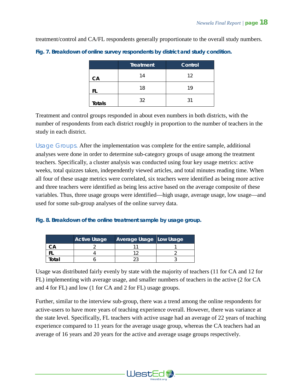treatment/control and CA/FL respondents generally proportionate to the overall study numbers.

|               | <b>Treatment</b> | Control |
|---------------|------------------|---------|
| CA            | 14               | 12      |
| ΗL            | 18               | 19      |
| <b>Totals</b> | 32               | 31      |

*Fig. 7. Breakdown of online survey respondents by district and study condition.*

Treatment and control groups responded in about even numbers in both districts, with the number of respondents from each district roughly in proportion to the number of teachers in the study in each district.

*Usage Groups.* After the implementation was complete for the entire sample, additional analyses were done in order to determine sub-category groups of usage among the treatment teachers. Specifically, a cluster analysis was conducted using four key usage metrics: active weeks, total quizzes taken, independently viewed articles, and total minutes reading time. When all four of these usage metrics were correlated, six teachers were identified as being more active and three teachers were identified as being less active based on the average composite of these variables. Thus, three usage groups were identified—high usage, average usage, low usage—and used for some sub-group analyses of the online survey data.

#### *Fig. 8. Breakdown of the online treatment sample by usage group.*

|       | <b>Active Usage</b> | Average Usage Low Usage |  |
|-------|---------------------|-------------------------|--|
|       |                     |                         |  |
|       |                     |                         |  |
| 'otal |                     |                         |  |

Usage was distributed fairly evenly by state with the majority of teachers (11 for CA and 12 for FL) implementing with average usage, and smaller numbers of teachers in the active (2 for CA and 4 for FL) and low (1 for CA and 2 for FL) usage groups.

Further, similar to the interview sub-group, there was a trend among the online respondents for active-users to have more years of teaching experience overall. However, there was variance at the state level. Specifically, FL teachers with active usage had an average of 22 years of teaching experience compared to 11 years for the average usage group, whereas the CA teachers had an average of 16 years and 20 years for the active and average usage groups respectively.

WestEd<sup>2</sup>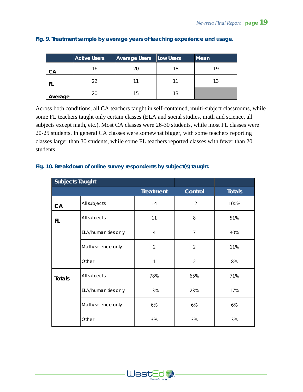|         | <b>Active Users</b> | <b>Average Users</b> | Low Users | Mean |
|---------|---------------------|----------------------|-----------|------|
| CА      | 16                  | 20                   | 18        | 19   |
|         | 22                  |                      |           | 13   |
| Average | 20                  | 15                   | 13        |      |

#### *Fig. 9. Treatment sample by average years of teaching experience and usage.*

Across both conditions, all CA teachers taught in self-contained, multi-subject classrooms, while some FL teachers taught only certain classes (ELA and social studies, math and science, all subjects except math, etc.). Most CA classes were 26-30 students, while most FL classes were 20-25 students. In general CA classes were somewhat bigger, with some teachers reporting classes larger than 30 students, while some FL teachers reported classes with fewer than 20 students.

# **Subjects Taught Treatment Control Totals CA**  $\begin{array}{|c|c|c|c|c|c|}\n\hline\n\text{All subjects} & & & 14 & & 12 & 100\% \n\end{array}$ **FL**  $\begin{array}{|c|c|c|c|c|}\n\hline\n\text{All subjects} & & 11 & & 8 & 51\% \\
\hline\n\end{array}$ ELA/humanities only  $\begin{array}{ccc} 4 & 1 & 7 & 30\% \end{array}$ Math/science only 2 2 11% Other 1 1 2 8% **Totals** All subjects **78%** 65% 71% ELA/humanities only  $\begin{array}{|c|c|c|c|c|c|c|c|} \hline \end{array}$  17% 23% 17% Math/science only  $\begin{array}{|c|c|c|c|c|} \hline \text{Math/science only} & \text{6\%} & \text{6\%} \hline \end{array}$ Other 3% 3% 3%

#### *Fig. 10. Breakdown of online survey respondents by subject(s) taught.*

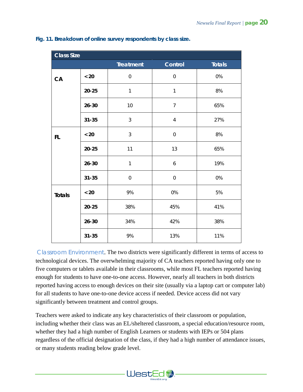| <b>Class Size</b> |           |                  |                |               |
|-------------------|-----------|------------------|----------------|---------------|
|                   |           | <b>Treatment</b> | Control        | <b>Totals</b> |
| CA                | $< 20$    | $\mathbf 0$      | $\mathbf 0$    | 0%            |
|                   | $20 - 25$ | $\mathbf{1}$     | $\mathbf{1}$   | 8%            |
|                   | $26 - 30$ | 10               | $\overline{7}$ | 65%           |
|                   | $31 - 35$ | 3                | $\overline{4}$ | 27%           |
| FL.               | $< 20$    | 3                | $\mathbf 0$    | 8%            |
|                   | $20 - 25$ | 11               | 13             | 65%           |
|                   | $26 - 30$ | $\mathbf{1}$     | 6              | 19%           |
|                   | $31 - 35$ | $\mathbf 0$      | $\mathbf 0$    | 0%            |
| <b>Totals</b>     | $< 20$    | 9%               | 0%             | 5%            |
|                   | $20 - 25$ | 38%              | 45%            | 41%           |
|                   | $26 - 30$ | 34%              | 42%            | 38%           |
|                   | $31 - 35$ | 9%               | 13%            | 11%           |

#### *Fig. 11. Breakdown of online survey respondents by class size.*

*Classroom Environment.* The two districts were significantly different in terms of access to technological devices. The overwhelming majority of CA teachers reported having only one to five computers or tablets available in their classrooms, while most FL teachers reported having enough for students to have one-to-one access. However, nearly all teachers in both districts reported having access to enough devices on their site (usually via a laptop cart or computer lab) for all students to have one-to-one device access if needed. Device access did not vary significantly between treatment and control groups.

Teachers were asked to indicate any key characteristics of their classroom or population, including whether their class was an EL/sheltered classroom, a special education/resource room, whether they had a high number of English Learners or students with IEPs or 504 plans regardless of the official designation of the class, if they had a high number of attendance issues, or many students reading below grade level.

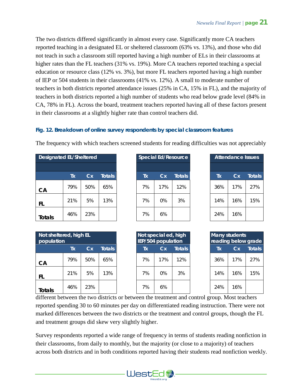The two districts differed significantly in almost every case. Significantly more CA teachers reported teaching in a designated EL or sheltered classroom (63% vs. 13%), and those who did not teach in such a classroom still reported having a high number of ELs in their classrooms at higher rates than the FL teachers (31% vs. 19%). More CA teachers reported teaching a special education or resource class (12% vs. 3%), but more FL teachers reported having a high number of IEP or 504 students in their classrooms (41% vs. 12%). A small to moderate number of teachers in both districts reported attendance issues (25% in CA, 15% in FL), and the majority of teachers in both districts reported a high number of students who read below grade level (84% in CA, 78% in FL). Across the board, treatment teachers reported having all of these factors present in their classrooms at a slightly higher rate than control teachers did.

#### *Fig. 12. Breakdown of online survey respondents by special classroom features*

The frequency with which teachers screened students for reading difficulties was not appreciably

| <b>Designated EL/Sheltered</b> |     |           |               |    | <b>Special Ed/Resource</b> |               |           | <b>Attendance Issues</b> |  |
|--------------------------------|-----|-----------|---------------|----|----------------------------|---------------|-----------|--------------------------|--|
|                                | Tx  | <b>Cx</b> | <b>Totals</b> | Tx | Cx                         | <b>Totals</b> | <b>Tx</b> | Cx                       |  |
| CA                             | 79% | 50%       | 65%           | 7% | 17%                        | 12%           | 36%       | 17%                      |  |
| FL                             | 21% | 5%        | 13%           | 7% | 0%                         | 3%            | 14%       | 16%                      |  |
| <b>Totals</b>                  | 46% | 23%       |               | 7% | 6%                         |               | 24%       | 16%                      |  |

| Not sheltered, high EL<br>population |     |     | Not special ed, high<br>IEP/504 population |    |           | reading below grad | <b>Many students</b> |     |       |
|--------------------------------------|-----|-----|--------------------------------------------|----|-----------|--------------------|----------------------|-----|-------|
|                                      | Tx  | Сx  | <b>Totals</b>                              | Tх | <b>Cx</b> | <b>Totals</b>      | Tх                   | Сx  | Total |
| CA                                   | 79% | 50% | 65%                                        | 7% | 17%       | 12%                | 36%                  | 17% | 27%   |
| FL                                   | 21% | 5%  | 13%                                        | 7% | $0\%$     | 3%                 | 14%                  | 16% | 15%   |
| <b>Totals</b>                        | 46% | 23% |                                            | 7% | 6%        |                    | 24%                  | 16% |       |

|           | L/Sheltered | <b>Special Ed/Resource</b> |  |
|-----------|-------------|----------------------------|--|
| <b>Τx</b> | Cx.         | <b>Totals</b>              |  |
| 9%        | 50%         | 65%                        |  |
| $1\%$     | 5%          | 13%                        |  |
| 6%        | 23%         |                            |  |

| , high EL |     |               | Not special ed, high<br>IEP/504 population |       |               | <b>Many students</b><br>reading below grade |           |               |
|-----------|-----|---------------|--------------------------------------------|-------|---------------|---------------------------------------------|-----------|---------------|
| Tx        | Cx  | <b>Totals</b> | Tx                                         | Cx    | <b>Totals</b> | Tх                                          | <b>Cx</b> | <b>Totals</b> |
| 9%        | 50% | 65%           | 7%                                         | 17%   | 12%           | 36%                                         | 17%       | 27%           |
| $1\%$     | 5%  | 13%           | 7%                                         | $0\%$ | 3%            | 14%                                         | 16%       | 15%           |
| 6%        | 23% |               | 7%                                         | 6%    |               | 24%                                         | 16%       |               |

| <b>Attendance Issues</b> |     |        |  |  |  |  |  |  |  |
|--------------------------|-----|--------|--|--|--|--|--|--|--|
|                          |     |        |  |  |  |  |  |  |  |
| Tx                       | Сx  | Totals |  |  |  |  |  |  |  |
| 36%                      | 17% | 27%    |  |  |  |  |  |  |  |
| 14%                      | 16% | 15%    |  |  |  |  |  |  |  |
| 24%                      | 16% |        |  |  |  |  |  |  |  |

| <b>Many students</b><br>reading below grade |              |     |  |  |  |  |  |  |
|---------------------------------------------|--------------|-----|--|--|--|--|--|--|
| Tx                                          | Cx<br>Totals |     |  |  |  |  |  |  |
| 36%                                         | 17%          | 27% |  |  |  |  |  |  |
| 14%                                         | 16%          | 15% |  |  |  |  |  |  |
| 24%                                         | 16%          |     |  |  |  |  |  |  |

different between the two districts or between the treatment and control group. Most teachers reported spending 30 to 60 minutes per day on differentiated reading instruction. There were not marked differences between the two districts or the treatment and control groups, though the FL and treatment groups did skew very slightly higher.

Survey respondents reported a wide range of frequency in terms of students reading nonfiction in their classrooms, from daily to monthly, but the majority (or close to a majority) of teachers across both districts and in both conditions reported having their students read nonfiction weekly.

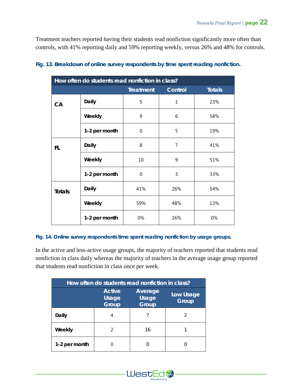Treatment teachers reported having their students read nonfiction significantly more often than controls, with 41% reporting daily and 59% reporting weekly, versus 26% and 48% for controls.

| How often do students read nonfiction in class? |               |                  |                |               |  |  |  |  |
|-------------------------------------------------|---------------|------------------|----------------|---------------|--|--|--|--|
|                                                 |               | <b>Treatment</b> | Control        | <b>Totals</b> |  |  |  |  |
| CA                                              | <b>Daily</b>  | 5                | $\mathbf{1}$   | 23%           |  |  |  |  |
|                                                 | Weekly        | 9                | 6              | 58%           |  |  |  |  |
|                                                 | 1-2 per month | 0                | 5              | 19%           |  |  |  |  |
| FL.                                             | Daily         | 8                | $\overline{7}$ | 41%           |  |  |  |  |
|                                                 | Weekly        | 10               | 9              | 51%           |  |  |  |  |
|                                                 | 1-2 per month | 0                | 3              | 33%           |  |  |  |  |
| <b>Totals</b>                                   | <b>Daily</b>  | 41%              | 26%            | 54%           |  |  |  |  |
|                                                 | Weekly        | 59%              | 48%            | 13%           |  |  |  |  |
|                                                 | 1-2 per month | 0%               | 26%            | 0%            |  |  |  |  |

#### *Fig. 13. Breakdown of online survey respondents by time spent reading nonfiction.*

#### *Fig. 14. Online survey respondents time spent reading nonfiction by usage groups.*

In the active and less-active usage groups, the majority of teachers reported that students read nonfiction in class daily whereas the majority of teachers in the average usage group reported that students read nonfiction in class once per week.

| How often do students read nonfiction in class? |                                 |                                  |                    |  |  |  |  |  |
|-------------------------------------------------|---------------------------------|----------------------------------|--------------------|--|--|--|--|--|
|                                                 | <b>Active</b><br>Usage<br>Group | Average<br>Usage<br><b>Group</b> | Low Usage<br>Group |  |  |  |  |  |
| Daily                                           |                                 |                                  | 2                  |  |  |  |  |  |
| Weekly                                          |                                 | 16                               |                    |  |  |  |  |  |
| 1-2 per month                                   |                                 |                                  |                    |  |  |  |  |  |

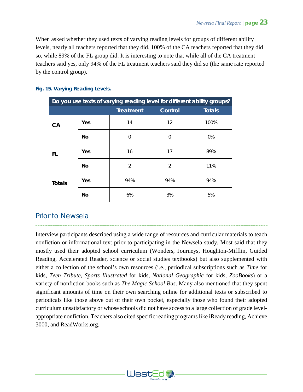When asked whether they used texts of varying reading levels for groups of different ability levels, nearly all teachers reported that they did. 100% of the CA teachers reported that they did so, while 89% of the FL group did. It is interesting to note that while all of the CA treatment teachers said yes, only 94% of the FL treatment teachers said they did so (the same rate reported by the control group).

| Do you use texts of varying reading level for different ability groups? |           |                  |          |               |  |  |  |  |
|-------------------------------------------------------------------------|-----------|------------------|----------|---------------|--|--|--|--|
|                                                                         |           | <b>Treatment</b> | Control  | <b>Totals</b> |  |  |  |  |
| CA                                                                      | Yes       | 14               | 12       | 100%          |  |  |  |  |
|                                                                         | <b>No</b> | $\Omega$         | $\Omega$ | 0%            |  |  |  |  |
| FL.                                                                     | Yes       | 16               | 17       | 89%           |  |  |  |  |
|                                                                         | No        | $\overline{2}$   | 2        | 11%           |  |  |  |  |
| <b>Totals</b>                                                           | Yes       | 94%              | 94%      | 94%           |  |  |  |  |
|                                                                         | No        | 6%               | 3%       | 5%            |  |  |  |  |

#### *Fig. 15. Varying Reading Levels.*

## Prior to Newsela

Interview participants described using a wide range of resources and curricular materials to teach nonfiction or informational text prior to participating in the Newsela study. Most said that they mostly used their adopted school curriculum (Wonders, Journeys, Houghton-Mifflin, Guided Reading, Accelerated Reader, science or social studies textbooks) but also supplemented with either a collection of the school's own resources (i.e., periodical subscriptions such as *Time* for kids, *Teen Tribute*, *Sports Illustrated* for kids, *National Geographic* for kids, *ZooBooks*) or a variety of nonfiction books such as *The Magic School Bus*. Many also mentioned that they spent significant amounts of time on their own searching online for additional texts or subscribed to periodicals like those above out of their own pocket, especially those who found their adopted curriculum unsatisfactory or whose schools did not have access to a large collection of grade levelappropriate nonfiction. Teachers also cited specific reading programs like iReady reading, Achieve 3000, and ReadWorks.org.

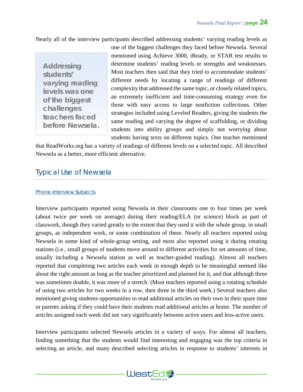Nearly all of the interview participants described addressing students' varying reading levels as

*Addressing students' varying reading levels was one of the biggest challenges teachers faced before Newsela.* one of the biggest challenges they faced before Newsela. Several mentioned using Achieve 3000, iReady, or STAR test results to determine students' reading levels or strengths and weaknesses. Most teachers then said that they tried to accommodate students' different needs by locating a range of readings of different complexity that addressed the same topic, or closely related topics, an extremely inefficient and time-consuming strategy even for those with easy access to large nonfiction collections. Other strategies included using Leveled Readers, giving the students the same reading and varying the degree of scaffolding, or dividing students into ability groups and simply not worrying about students having texts on different topics. One teacher mentioned

that ReadWorks.org has a variety of readings of different levels on a selected topic. All described Newsela as a better, more efficient alternative.

## Typical Use of Newsela

#### *Phone Interview Subjects*

Interview participants reported using Newsela in their classrooms one to four times per week (about twice per week on average) during their reading/ELA (or science) block as part of classwork, though they varied greatly to the extent that they used it with the whole group, in small groups, as independent work, or some combination of these. Nearly all teachers reported using Newsela in some kind of whole-group setting, and most also reported using it during rotating stations (i.e., small groups of students move around to different activities for set amounts of time, usually including a Newsela station as well as teacher-guided reading). Almost all teachers reported that completing two articles each week in enough depth to be meaningful seemed like about the right amount as long as the teacher prioritized and planned for it, and that although three was sometimes doable, it was more of a stretch. (Most teachers reported using a rotating schedule of using two articles for two weeks in a row, then three in the third week.) Several teachers also mentioned giving students opportunities to read additional articles on their own in their spare time or parents asking if they could have their students read additional articles at home. The number of articles assigned each week did not vary significantly between active users and less-active users.

Interview participants selected Newsela articles in a variety of ways. For almost all teachers, finding something that the students would find interesting and engaging was the top criteria in selecting an article, and many described selecting articles in response to students' interests in

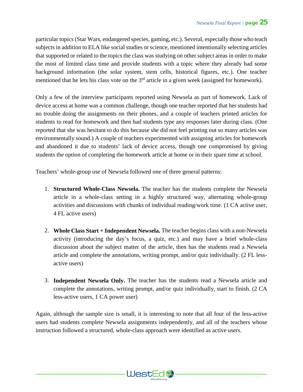particular topics (Star Wars, endangered species, gaming, etc.). Several, especially those who teach subjects in addition to ELA like social studies or science, mentioned intentionally selecting articles that supported or related to the topics the class was studying on other subject areas in order to make the most of limited class time and provide students with a topic where they already had some background information (the solar system, stem cells, historical figures, etc.). One teacher mentioned that he lets his class vote on the  $3<sup>rd</sup>$  article in a given week (assigned for homework).

Only a few of the interview participants reported using Newsela as part of homework. Lack of device access at home was a common challenge, though one teacher reported that her students had no trouble doing the assignments on their phones, and a couple of teachers printed articles for students to read for homework and then had students type any responses later during class. (One reported that she was hesitant to do this because she did not feel printing out so many articles was environmentally sound.) A couple of teachers experimented with assigning articles for homework and abandoned it due to students' lack of device access, though one compromised by giving students the option of completing the homework article at home or in their spare time at school.

Teachers' whole-group use of Newsela followed one of three general patterns:

- 1. **Structured Whole-Class Newsela.** The teacher has the students complete the Newsela article in a whole-class setting in a highly structured way, alternating whole-group activities and discussions with chunks of individual reading/work time. (1 CA active user, 4 FL active users)
- 2. **Whole Class Start + Independent Newsela.** The teacher begins class with a non-Newsela activity (introducing the day's focus, a quiz, etc.) and may have a brief whole-class discussion about the subject matter of the article, then has the students read a Newsela article and complete the annotations, writing prompt, and/or quiz individually. (2 FL lessactive users)
- 3. **Independent Newsela Only.** The teacher has the students read a Newsela article and complete the annotations, writing prompt, and/or quiz individually, start to finish. (2 CA less-active users, 1 CA power user)

Again, although the sample size is small, it is interesting to note that all four of the less-active users had students complete Newsela assignments independently, and all of the teachers whose instruction followed a structured, whole-class approach were identified as active users.

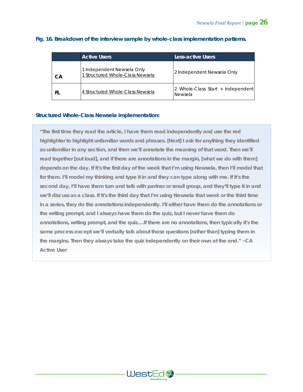|     | <b>Active Users</b>                                            | Less-active Users                            |  |
|-----|----------------------------------------------------------------|----------------------------------------------|--|
| CА  | 1 Independent Newsela Only<br>1 Structured Whole-Class Newsela | 2 Independent Newsela Only                   |  |
| FI. | 4 Structured Whole-Class Newsela                               | 2 Whole-Class Start + Independent<br>Newsela |  |

#### *Fig. 16. Breakdown of the interview sample by whole-class implementation patterns.*

#### *Structured Whole-Class Newsela implementation:*

*"The first time they read the article, I have them read independently and use the red highlighter to highlight unfamiliar words and phrases. [Next] I ask for anything they identified as unfamiliar in any section, and then we'll annotate the meaning of that word. Then we'll read together [out loud], and if there are annotations in the margin, [what we do with them] depends on the day. If it's the first day of the week that I'm using Newsela, then I'll model that for them. I'll model my thinking and type it in and they can type along with me. If it's the second day, I'll have them turn and talk with partner or small group, and they'll type it in and we'll discuss as a class. If it's the third day that I'm using Newsela that week or the third time in a series, they do the annotations independently. I'll either have them do the annotations or the writing prompt, and I always have them do the quiz, but I never have them do annotations, writing prompt,* **and** *the quiz….If there are no annotations, then typically it's the same process except we'll verbally talk about those questions [rather than] typing them in the margins. Then they always take the quiz independently on their own at the end." ~CA Active User*

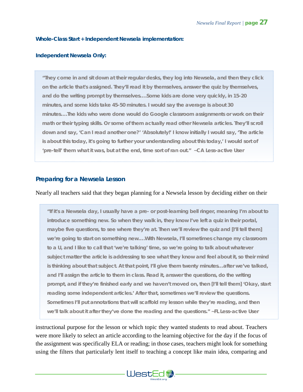#### *Whole-Class Start + Independent Newsela implementation:*

#### *Independent Newsela Only:*

*"They come in and sit down at their regular desks, they log into Newsela, and then they click on the article that's assigned. They'll read it by themselves, answer the quiz by themselves, and do the writing prompt by themselves….Some kids are done very quickly, in 15-20 minutes, and some kids take 45-50 minutes. I would say the average is about 30 minutes….The kids who were done would do Google classroom assignments or work on their math or their typing skills. Or some of them actually read other Newsela articles. They'll scroll down and say, 'Can I read another one?' 'Absolutely!' I know initially I would say, 'The article is about this today, it's going to further your understanding about this today,' I would sort of 'pre-tell' them what it was, but at the end, time sort of ran out." ~CA Less-active User*

#### **Preparing for a Newsela Lesson**

#### Nearly all teachers said that they began planning for a Newsela lesson by deciding either on their

*"If it's a Newsela day, I usually have a pre- or post-learning bell ringer, meaning I'm about to introduce something new. So when they walk in, they know I've left a quiz in their portal, maybe five questions, to see where they're at. Then we'll review the quiz and [I'll tell them] we're going to start on something new….With Newsela, I'll sometimes change my classroom to a U, and I like to call that 'we're talking' time, so we're going to talk about whatever subject matter the article is addressing to see what they know and feel about it, so their mind is thinking about that subject. At that point, I'll give them twenty minutes…after we've talked, and I'll assign the article to them in class. Read it, answer the questions, do the writing prompt, and if they're finished early and we haven't moved on, then [I'll tell them] 'Okay, start reading some independent articles.' After that, sometimes we'll review the questions. Sometimes I'll put annotations that will scaffold my lesson while they're reading, and then we'll talk about it after they've done the reading and the questions." ~FL Less-active User*

instructional purpose for the lesson or which topic they wanted students to read about. Teachers were more likely to select an article according to the learning objective for the day if the focus of the assignment was specifically ELA or reading; in those cases, teachers might look for something using the filters that particularly lent itself to teaching a concept like main idea, comparing and

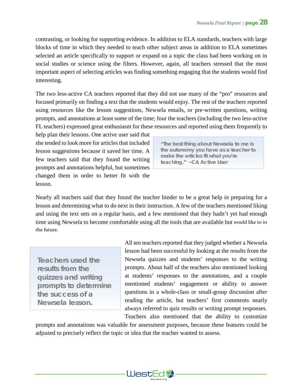contrasting, or looking for supporting evidence. In addition to ELA standards, teachers with large blocks of time in which they needed to teach other subject areas in addition to ELA sometimes selected an article specifically to support or expand on a topic the class had been working on in social studies or science using the filters. However, again, all teachers stressed that the most important aspect of selecting articles was finding something engaging that the students would find interesting.

The two less-active CA teachers reported that they did not use many of the "pro" resources and focused primarily on finding a text that the students would enjoy. The rest of the teachers reported using resources like the lesson suggestions, Newsela emails, or pre-written questions, writing prompts, and annotations at least some of the time; four the teachers (including the two less-active FL teachers) expressed great enthusiasm for these resources and reported using them frequently to

help plan their lessons. One active user said that she tended to look more for articles that included lesson suggestions because it saved her time. A few teachers said that they found the writing prompts and annotations helpful, but sometimes changed them in order to better fit with the lesson.

*"The best thing about Newsela to me is the autonomy you have as a teacher to make the articles fit what you're teaching." ~CA Active User*

Nearly all teachers said that they found the teacher binder to be a great help in preparing for a lesson and determining what to do next in their instruction. A few of the teachers mentioned liking and using the text sets on a regular basis, and a few mentioned that they hadn't yet had enough time using Newsela to become comfortable using all the tools that are available but would like to in the future.

*Teachers used the results from the quizzes and writing prompts to determine the success of a Newsela lesson.* 

All ten teachers reported that they judged whether a Newsela lesson had been successful by looking at the results from the Newsela quizzes and students' responses to the writing prompts. About half of the teachers also mentioned looking at students' responses to the annotations, and a couple mentioned students' engagement or ability to answer questions in a whole-class or small-group discussion after reading the article, but teachers' first comments nearly always referred to quiz results or writing prompt responses.

Teachers also mentioned that the ability to customize prompts and annotations was valuable for assessment purposes, because these features could be adjusted to precisely reflect the topic or idea that the teacher wanted to assess.

WestEd **\***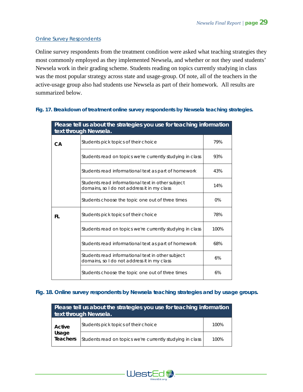#### *Online Survey Respondents*

Online survey respondents from the treatment condition were asked what teaching strategies they most commonly employed as they implemented Newsela, and whether or not they used students' Newsela work in their grading scheme. Students reading on topics currently studying in class was the most popular strategy across state and usage-group. Of note, all of the teachers in the active-usage group also had students use Newsela as part of their homework. All results are summarized below.

#### *Fig. 17. Breakdown of treatment online survey respondents by Newsela teaching strategies.*

|           | Please tell us about the strategies you use for teaching information<br>text through Newsela.    |       |  |  |
|-----------|--------------------------------------------------------------------------------------------------|-------|--|--|
| <b>CA</b> | Students pick topics of their choice                                                             | 79%   |  |  |
|           | Students read on topics we're currently studying in class                                        | 93%   |  |  |
|           | Students read informational text as part of homework                                             | 43%   |  |  |
|           | Students read informational text in other subject<br>domains, so I do not address it in my class | 14%   |  |  |
|           | Students choose the topic one out of three times                                                 | $0\%$ |  |  |
| FL        | Students pick topics of their choice                                                             |       |  |  |
|           | Students read on topics we're currently studying in class                                        | 100%  |  |  |
|           | Students read informational text as part of homework                                             | 68%   |  |  |
|           | Students read informational text in other subject<br>domains, so I do not address it in my class | 6%    |  |  |
|           | Students choose the topic one out of three times                                                 | 6%    |  |  |

#### *Fig. 18. Online survey respondents by Newsela teaching strategies and by usage groups.*

| Please tell us about the strategies you use for teaching information<br>text through Newsela. |                                                           |      |  |
|-----------------------------------------------------------------------------------------------|-----------------------------------------------------------|------|--|
| Active<br>Usage<br><b>Teachers</b>                                                            | Students pick topics of their choice                      | 100% |  |
|                                                                                               | Students read on topics we're currently studying in class | 100% |  |

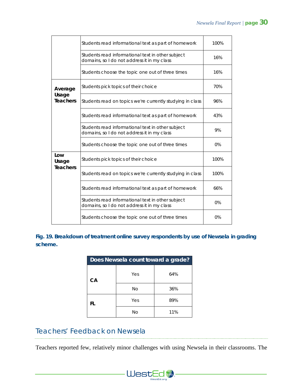|                          | Students read informational text as part of homework                                             |      |
|--------------------------|--------------------------------------------------------------------------------------------------|------|
|                          | Students read informational text in other subject<br>domains, so I do not address it in my class |      |
|                          | Students choose the topic one out of three times                                                 | 16%  |
| Average                  | Students pick topics of their choice                                                             | 70%  |
| Usage<br><b>Teachers</b> | Students read on topics we're currently studying in class                                        | 96%  |
|                          | Students read informational text as part of homework                                             | 43%  |
|                          | Students read informational text in other subject<br>domains, so I do not address it in my class |      |
|                          | Students choose the topic one out of three times                                                 | 0%   |
| Low<br>Usage             | Students pick topics of their choice                                                             | 100% |
| <b>Teachers</b>          | Students read on topics we're currently studying in class                                        | 100% |
|                          | Students read informational text as part of homework                                             | 66%  |
|                          | Students read informational text in other subject<br>domains, so I do not address it in my class | 0%   |
|                          | Students choose the topic one out of three times                                                 | 0%   |

*Fig. 19. Breakdown of treatment online survey respondents by use of Newsela in grading scheme.*

| Does Newsela count toward a grade? |           |     |  |
|------------------------------------|-----------|-----|--|
| CA                                 | Yes       | 64% |  |
|                                    | <b>No</b> | 36% |  |
| FL.                                | Yes       | 89% |  |
|                                    | Νo        | 11% |  |

# Teachers' Feedback on Newsela

Teachers reported few, relatively minor challenges with using Newsela in their classrooms. The

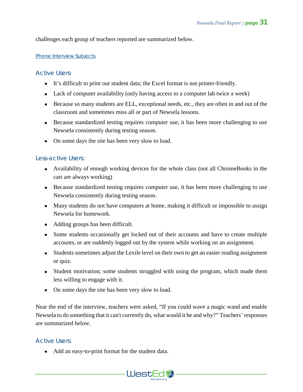challenges each group of teachers reported are summarized below.

#### *Phone Interview Subjects*

#### *Active Users:*

- It's difficult to print out student data; the Excel format is not printer-friendly.
- Lack of computer availability (only having access to a computer lab twice a week)
- Because so many students are ELL, exceptional needs, etc., they are often in and out of the classroom and sometimes miss all or part of Newsela lessons.
- Because standardized testing requires computer use, it has been more challenging to use Newsela consistently during testing season.
- On some days the site has been very slow to load.

#### *Less-active Users:*

- Availability of enough working devices for the whole class (not all ChromeBooks in the cart are always working)
- Because standardized testing requires computer use, it has been more challenging to use Newsela consistently during testing season.
- Many students do not have computers at home, making it difficult or impossible to assign Newsela for homework.
- Adding groups has been difficult.
- Some students occasionally get locked out of their accounts and have to create multiple accounts, or are suddenly logged out by the system while working on an assignment.
- Students sometimes adjust the Lexile level on their own to get an easier reading assignment or quiz.
- Student motivation; some students struggled with using the program, which made them less willing to engage with it.
- On some days the site has been very slow to load.

Near the end of the interview, teachers were asked, "If you could wave a magic wand and enable Newsela to do something that it can't currently do, what would it be and why?" Teachers' responses are summarized below.

WestEd

#### *Active Users:*

• Add an easy-to-print format for the student data.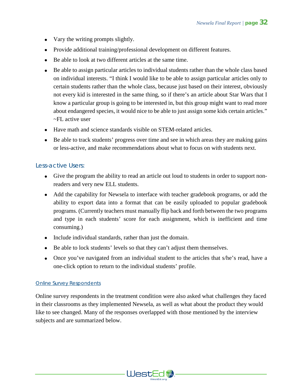- Vary the writing prompts slightly.
- Provide additional training/professional development on different features.
- Be able to look at two different articles at the same time.
- Be able to assign particular articles to individual students rather than the whole class based on individual interests. "I think I would like to be able to assign particular articles only to certain students rather than the whole class, because just based on their interest, obviously not every kid is interested in the same thing, so if there's an article about Star Wars that I know a particular group is going to be interested in, but this group might want to read more about endangered species, it would nice to be able to just assign some kids certain articles." ~FL active user
- Have math and science standards visible on STEM-related articles.
- Be able to track students' progress over time and see in which areas they are making gains or less-active, and make recommendations about what to focus on with students next.

#### *Less-active Users:*

- Give the program the ability to read an article out loud to students in order to support nonreaders and very new ELL students.
- Add the capability for Newsela to interface with teacher gradebook programs, or add the ability to export data into a format that can be easily uploaded to popular gradebook programs. (Currently teachers must manually flip back and forth between the two programs and type in each students' score for each assignment, which is inefficient and time consuming.)
- Include individual standards, rather than just the domain.
- Be able to lock students' levels so that they can't adjust them themselves.
- Once you've navigated from an individual student to the articles that s/he's read, have a one-click option to return to the individual students' profile.

#### *Online Survey Respondents*

Online survey respondents in the treatment condition were also asked what challenges they faced in their classrooms as they implemented Newsela, as well as what about the product they would like to see changed. Many of the responses overlapped with those mentioned by the interview subjects and are summarized below.

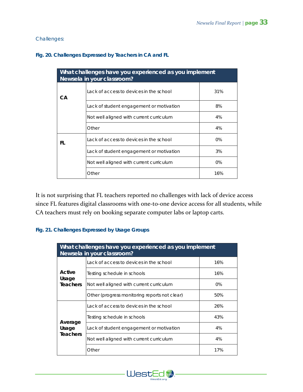#### *Challenges:*

#### *Fig. 20. Challenges Expressed by Teachers in CA and FL*

| What challenges have you experienced as you implement<br>Newsela in your classroom? |                                          |       |  |
|-------------------------------------------------------------------------------------|------------------------------------------|-------|--|
| CА                                                                                  | Lack of access to devices in the school  | 31%   |  |
|                                                                                     | Lack of student engagement or motivation | 8%    |  |
|                                                                                     | Not well aligned with current curriculum |       |  |
|                                                                                     | Other                                    | 4%    |  |
| FI.                                                                                 | Lack of access to devices in the school  | $0\%$ |  |
|                                                                                     | Lack of student engagement or motivation | 3%    |  |
|                                                                                     | Not well aligned with current curriculum |       |  |
|                                                                                     | Other                                    | 16%   |  |

It is not surprising that FL teachers reported no challenges with lack of device access since FL features digital classrooms with one-to-one device access for all students, while CA teachers must rely on booking separate computer labs or laptop carts.

#### *Fig. 21. Challenges Expressed by Usage Groups*

| What challenges have you experienced as you implement<br>Newsela in your classroom? |                                               |       |  |
|-------------------------------------------------------------------------------------|-----------------------------------------------|-------|--|
|                                                                                     | Lack of access to devices in the school       | 16%   |  |
| Active                                                                              | Testing schedule in schools                   | 16%   |  |
| Usage<br><b>Teachers</b>                                                            | Not well aligned with current curriculum      | $0\%$ |  |
|                                                                                     | Other (progress monitoring reports not clear) | 50%   |  |
|                                                                                     | Lack of access to devices in the school       | 26%   |  |
|                                                                                     | Testing schedule in schools                   | 43%   |  |
| Average<br>Usage<br><b>Teachers</b>                                                 | Lack of student engagement or motivation      | 4%    |  |
|                                                                                     | Not well aligned with current curriculum      | 4%    |  |
|                                                                                     | Other                                         | 17%   |  |

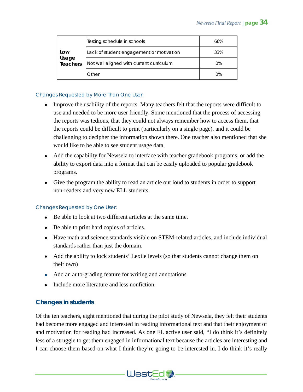| Low<br>Usage<br>Teachers | Testing schedule in schools              | 66%   |
|--------------------------|------------------------------------------|-------|
|                          | Lack of student engagement or motivation | 33%   |
|                          | Not well aligned with current curriculum | $0\%$ |
|                          | Other                                    | 0%    |

#### *Changes Requested by More Than One User:*

- Improve the usability of the reports. Many teachers felt that the reports were difficult to use and needed to be more user friendly. Some mentioned that the process of accessing the reports was tedious, that they could not always remember how to access them, that the reports could be difficult to print (particularly on a single page), and it could be challenging to decipher the information shown there. One teacher also mentioned that she would like to be able to see student usage data.
- Add the capability for Newsela to interface with teacher gradebook programs, or add the ability to export data into a format that can be easily uploaded to popular gradebook programs.
- Give the program the ability to read an article out loud to students in order to support non-readers and very new ELL students.

#### *Changes Requested by One User:*

- Be able to look at two different articles at the same time.
- Be able to print hard copies of articles.
- Have math and science standards visible on STEM-related articles, and include individual standards rather than just the domain.
- Add the ability to lock students' Lexile levels (so that students cannot change them on their own)
- Add an auto-grading feature for writing and annotations
- Include more literature and less nonfiction.

#### **Changes in students**

Of the ten teachers, eight mentioned that during the pilot study of Newsela, they felt their students had become more engaged and interested in reading informational text and that their enjoyment of and motivation for reading had increased. As one FL active user said, "I do think it's definitely less of a struggle to get them engaged in informational text because the articles are interesting and I can choose them based on what I think they're going to be interested in. I do think it's really

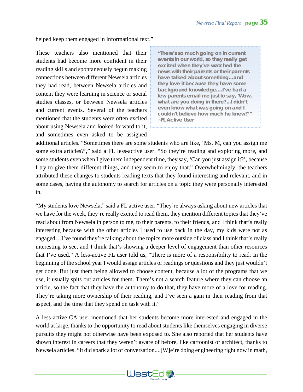helped keep them engaged in informational text."

These teachers also mentioned that their students had become more confident in their reading skills and spontaneously begun making connections between different Newsela articles they had read, between Newsela articles and content they were learning in science or social studies classes, or between Newsela articles and current events. Several of the teachers mentioned that the students were often excited about using Newsela and looked forward to it, and sometimes even asked to be assigned

*"There's so much going on in current events in our world, so they really get excited when they've watched the news with their parents or their parents have talked about something…and they love it because they have some background knowledge….I've had a few parents email me just to say, 'Wow, what are you doing in there?...I didn't even know what was going on and I couldn't believe how much he knew!''" ~FL Active User*

additional articles. "Sometimes there are some students who are like, 'Ms. M, can you assign me some extra articles?'," said a FL less-active user. "So they're reading and exploring more, and some students even when I give them independent time, they say, 'Can you just assign it?', because I try to give them different things, and they seem to enjoy that." Overwhelmingly, the teachers attributed these changes to students reading texts that they found interesting and relevant, and in some cases, having the autonomy to search for articles on a topic they were personally interested in.

"My students love Newsela," said a FL active user. "They're always asking about new articles that we have for the week, they're really excited to read them, they mention different topics that they've read about from Newsela in person to me, to their parents, to their friends, and I think that's really interesting because with the other articles I used to use back in the day, my kids were not as engaged…I've found they're talking about the topics more outside of class and I think that's really interesting to see, and I think that's showing a deeper level of engagement than other resources that I've used." A less-active FL user told us, "There is more of a responsibility to read. In the beginning of the school year I would assign articles or readings or questions and they just wouldn't get done. But just them being allowed to choose content, because a lot of the programs that we use, it usually spits out articles for them. There's not a search feature where they can choose an article, so the fact that they have the autonomy to do that, they have more of a love for reading. They're taking more ownership of their reading, and I've seen a gain in their reading from that aspect, and the time that they spend on task with it."

A less-active CA user mentioned that her students become more interested and engaged in the world at large, thanks to the opportunity to read about students like themselves engaging in diverse pursuits they might not otherwise have been exposed to. She also reported that her students have shown interest in careers that they weren't aware of before, like cartoonist or architect, thanks to Newsela articles. "It did spark a lot of conversation....[W]e're doing engineering right now in math,

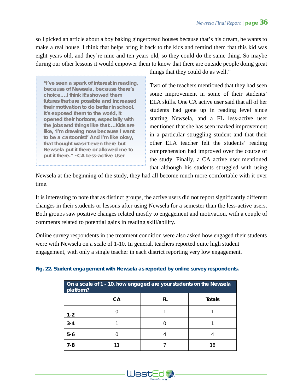so I picked an article about a boy baking gingerbread houses because that's his dream, he wants to make a real house. I think that helps bring it back to the kids and remind them that this kid was eight years old, and they're nine and ten years old, so they could do the same thing. So maybe during our other lessons it would empower them to know that there are outside people doing great

*"I've seen a spark of interest in reading, because of Newsela, because there's choice….I think it's showed them futures that are possible and increased their motivation to do better in school. It's exposed them to the world, it opened their horizons, especially with the jobs and things like that….Kids are like, 'I'm drawing now because I want to be a cartoonist!' And I'm like okay, that thought wasn't even there but Newsela put it there or allowed me to put it there." ~CA Less-active User*

things that they could do as well."

Two of the teachers mentioned that they had seen some improvement in some of their students' ELA skills. One CA active user said that all of her students had gone up in reading level since starting Newsela, and a FL less-active user mentioned that she has seen marked improvement in a particular struggling student and that their other ELA teacher felt the students' reading comprehension had improved over the course of the study. Finally, a CA active user mentioned that although his students struggled with using

Newsela at the beginning of the study, they had all become much more comfortable with it over time.

It is interesting to note that as distinct groups, the active users did not report significantly different changes in their students or lessons after using Newsela for a semester than the less-active users. Both groups saw positive changes related mostly to engagement and motivation, with a couple of comments related to potential gains in reading skill/ability.

Online survey respondents in the treatment condition were also asked how engaged their students were with Newsela on a scale of 1-10. In general, teachers reported quite high student engagement, with only a single teacher in each district reporting very low engagement.

| On a scale of 1 - 10, how engaged are your students on the Newsela<br>platform? |    |    |               |  |
|---------------------------------------------------------------------------------|----|----|---------------|--|
|                                                                                 | CA | FL | <b>Totals</b> |  |
| $1 - 2$                                                                         |    |    |               |  |
| $3 - 4$                                                                         |    |    |               |  |
| $5-6$                                                                           |    |    |               |  |
| 7-8                                                                             |    |    | 18            |  |

#### *Fig. 22. Student engagement with Newsela as reported by online survey respondents.*

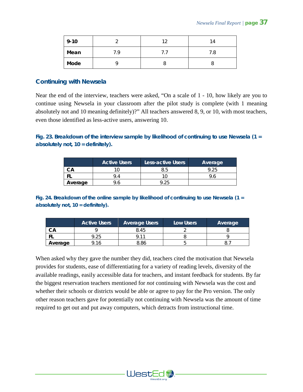| $9 - 10$ |     | 10 | 14  |
|----------|-----|----|-----|
| Mean     | 7 Q |    | 7.8 |
| Mode     |     |    |     |

#### **Continuing with Newsela**

Near the end of the interview, teachers were asked, "On a scale of 1 - 10, how likely are you to continue using Newsela in your classroom after the pilot study is complete (with 1 meaning absolutely not and 10 meaning definitely)?" All teachers answered 8, 9, or 10, with most teachers, even those identified as less-active users, answering 10.

#### *Fig. 23. Breakdown of the interview sample by likelihood of continuing to use Newsela (1 = absolutely not, 10 = definitely).*

|         | <b>Active Users</b> | Less-active Users | Average |
|---------|---------------------|-------------------|---------|
|         |                     | კ.ხ               |         |
| - 1     | Q                   |                   |         |
| Average |                     |                   |         |

*Fig. 24. Breakdown of the online sample by likelihood of continuing to use Newsela (1 = absolutely not, 10 = definitely).*

|         | <b>Active Users</b> | <b>Average Users</b> | Low Users | Average |
|---------|---------------------|----------------------|-----------|---------|
| CА      |                     | 8.45                 |           |         |
|         | 9.25                | O 11                 |           |         |
| Average | <b>16</b>           | 3.86                 |           |         |

When asked why they gave the number they did, teachers cited the motivation that Newsela provides for students, ease of differentiating for a variety of reading levels, diversity of the available readings, easily accessible data for teachers, and instant feedback for students. By far the biggest reservation teachers mentioned for *not* continuing with Newsela was the cost and whether their schools or districts would be able or agree to pay for the Pro version. The only other reason teachers gave for potentially not continuing with Newsela was the amount of time required to get out and put away computers, which detracts from instructional time.

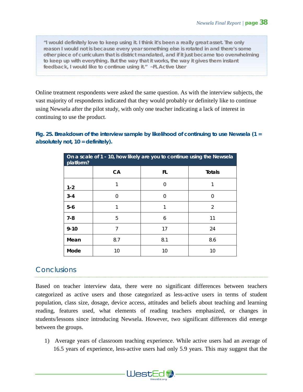*"I would definitely love to keep using it. I think it's been a really great asset. The only*  reason I would not is because every year something else is rotated in and there's some *other piece of curriculum that is district mandated, and if it just became too overwhelming*  to keep up with everything. But the way that it works, the way it gives them instant *feedback, I would like to continue using it." ~FL Active User*

Online treatment respondents were asked the same question. As with the interview subjects, the vast majority of respondents indicated that they would probably or definitely like to continue using Newsela after the pilot study, with only one teacher indicating a lack of interest in continuing to use the product.

*Fig. 25. Breakdown of the interview sample by likelihood of continuing to use Newsela (1 = absolutely not, 10 = definitely).*

| On a scale of 1 - 10, how likely are you to continue using the Newsela<br>platform? |     |        |                |
|-------------------------------------------------------------------------------------|-----|--------|----------------|
|                                                                                     | CA  | FL     | <b>Totals</b>  |
| $1 - 2$                                                                             |     | O      |                |
| $3 - 4$                                                                             | O   | $\cap$ | 0              |
| $5-6$                                                                               |     |        | $\overline{2}$ |
| $7 - 8$                                                                             | 5   | 6      | 11             |
| $9 - 10$                                                                            | 7   | 17     | 24             |
| Mean                                                                                | 8.7 | 8.1    | 8.6            |
| Mode                                                                                | 10  | 10     | 10             |

## **Conclusions**

Based on teacher interview data, there were no significant differences between teachers categorized as active users and those categorized as less-active users in terms of student population, class size, dosage, device access, attitudes and beliefs about teaching and learning reading, features used, what elements of reading teachers emphasized, or changes in students/lessons since introducing Newsela. However, two significant differences did emerge between the groups.

1) Average years of classroom teaching experience. While active users had an average of 16.5 years of experience, less-active users had only 5.9 years. This may suggest that the

WestEd **\***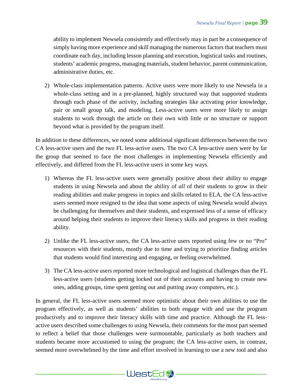ability to implement Newsela consistently and effectively may in part be a consequence of simply having more experience and skill managing the numerous factors that teachers must coordinate each day, including lesson planning and execution, logistical tasks and routines, students' academic progress, managing materials, student behavior, parent communication, administrative duties, etc.

2) Whole-class implementation patterns. Active users were more likely to use Newsela in a whole-class setting and in a pre-planned, highly structured way that supported students through each phase of the activity, including strategies like activating prior knowledge, pair or small group talk, and modeling. Less-active users were more likely to assign students to work through the article on their own with little or no structure or support beyond what is provided by the program itself.

In addition to these differences, we noted some additional significant differences between the two CA less-active users and the two FL less-active users. The two CA less-active users were by far the group that seemed to face the most challenges in implementing Newsela efficiently and effectively, and differed from the FL less-active users in some key ways.

- 1) Whereas the FL less-active users were generally positive about their ability to engage students in using Newsela and about the ability of *all* of their students to grow in their reading abilities and make progress in topics and skills related to ELA, the CA less-active users seemed more resigned to the idea that some aspects of using Newsela would always be challenging for themselves and their students, and expressed less of a sense of efficacy around helping their students to improve their literacy skills and progress in their reading ability.
- 2) Unlike the FL less-active users, the CA less-active users reported using few or no "Pro" resources with their students, mostly due to time and trying to prioritize finding articles that students would find interesting and engaging, or feeling overwhelmed.
- 3) The CA less-active users reported more technological and logistical challenges than the FL less-active users (students getting locked out of their accounts and having to create new ones, adding groups, time spent getting out and putting away computers, etc.).

In general, the FL less-active users seemed more optimistic about their own abilities to use the program effectively, as well as students' abilities to both engage with and use the program productively and to improve their literacy skills with time and practice. Although the FL lessactive users described some challenges to using Newsela, their comments for the most part seemed to reflect a belief that those challenges were surmountable, particularly as both teachers and students became more accustomed to using the program; the CA less-active users, in contrast, seemed more overwhelmed by the time and effort involved in learning to use a new tool and also

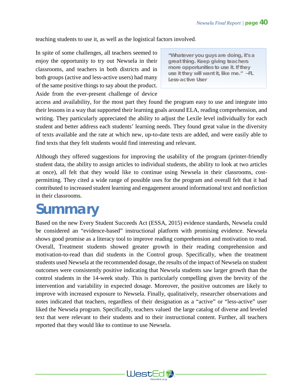teaching students to use it, as well as the logistical factors involved.

In spite of some challenges, all teachers seemed to enjoy the opportunity to try out Newsela in their classrooms, and teachers in both districts and in both groups (active and less-active users) had many of the same positive things to say about the product. Aside from the ever-present challenge of device

*"Whatever you guys are doing, it's a great thing. Keep giving teachers more opportunities to use it. If they use it they will want it, like me." ~FL Less-active User*

access and availability, for the most part they found the program easy to use and integrate into their lessons in a way that supported their learning goals around ELA, reading comprehension, and writing. They particularly appreciated the ability to adjust the Lexile level individually for each student and better address each students' learning needs. They found great value in the diversity of texts available and the rate at which new, up-to-date texts are added, and were easily able to find texts that they felt students would find interesting and relevant.

Although they offered suggestions for improving the usability of the program (printer-friendly student data, the ability to assign articles to individual students, the ability to look at two articles at once), all felt that they would like to continue using Newsela in their classrooms, costpermitting. They cited a wide range of possible uses for the program and overall felt that it had contributed to increased student learning and engagement around informational text and nonfiction in their classrooms.

# **Summary**

Based on the new Every Student Succeeds Act (ESSA, 2015) evidence standards, Newsela could be considered an "evidence-based" instructional platform with promising evidence. Newsela shows good promise as a literacy tool to improve reading comprehension and motivation to read. Overall, Treatment students showed greater growth in their reading comprehension and motivation-to-read than did students in the Control group. Specifically, when the treatment students used Newsela at the recommended dosage, the results of the impact of Newsela on student outcomes were consistently positive indicating that Newsela students saw larger growth than the control students in the 14-week study. This is particularly compelling given the brevity of the intervention and variability in expected dosage. Moreover, the positive outcomes are likely to improve with increased exposure to Newsela. Finally, qualitatively, researcher observations and notes indicated that teachers, regardless of their designation as a "active" or "less-active" user liked the Newsela program. Specifically, teachers valued the large catalog of diverse and leveled text that were relevant to their students and to their instructional content. Further, all teachers reported that they would like to continue to use Newsela.